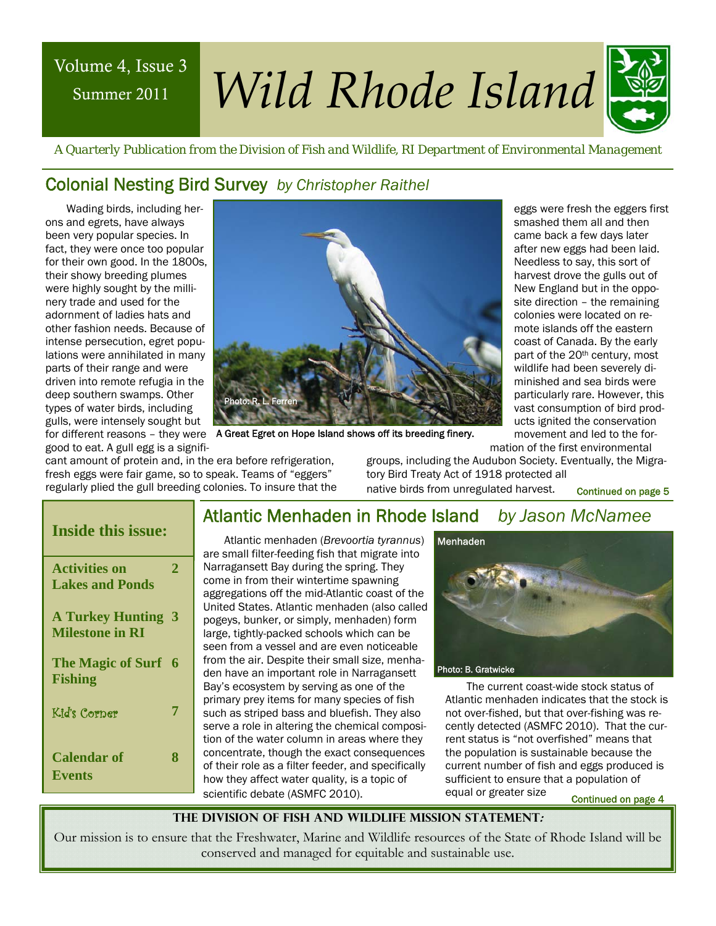## Summer 2011

# Volume 4, Issue 3 *Wild Rhode Island*



 *A Quarterly Publication from the Division of Fish and Wildlife, RI Department of Environmental Management* 

## Colonial Nesting Bird Survey *by Christopher Raithel*

Wading birds, including herons and egrets, have always been very popular species. In fact, they were once too popular for their own good. In the 1800s, their showy breeding plumes were highly sought by the millinery trade and used for the adornment of ladies hats and other fashion needs. Because of intense persecution, egret populations were annihilated in many parts of their range and were driven into remote refugia in the deep southern swamps. Other types of water birds, including gulls, were intensely sought but good to eat. A gull egg is a signifi-



New England but in the opposite direction – the remaining colonies were located on remote islands off the eastern coast of Canada. By the early part of the 20<sup>th</sup> century, most wildlife had been severely diminished and sea birds were particularly rare. However, this vast consumption of bird products ignited the conservation movement and led to the formation of the first environmental

eggs were fresh the eggers first smashed them all and then came back a few days later after new eggs had been laid. Needless to say, this sort of harvest drove the gulls out of

for different reasons – they were A Great Egret on Hope Island shows off its breeding finery.

cant amount of protein and, in the era before refrigeration, fresh eggs were fair game, so to speak. Teams of "eggers" regularly plied the gull breeding colonies. To insure that the groups, including the Audubon Society. Eventually, the Migratory Bird Treaty Act of 1918 protected all native birds from unregulated harvest.

Continued on page 5

| <b>Inside this issue:</b>                         |             |
|---------------------------------------------------|-------------|
| <b>Activities on</b><br><b>Lakes and Ponds</b>    | $\mathbf 2$ |
| <b>A Turkey Hunting</b><br><b>Milestone in RI</b> | - 3         |
| The Magic of Surf 6<br><b>Fishing</b>             |             |
| Kid's Corner                                      | 7           |
| <b>Calendar of</b><br><b>Events</b>               | 8           |

## Atlantic Menhaden in Rhode Island *by Jason McNamee*

Atlantic menhaden (*Brevoortia tyrannus*) are small filter-feeding fish that migrate into Narragansett Bay during the spring. They come in from their wintertime spawning aggregations off the mid-Atlantic coast of the United States. Atlantic menhaden (also called pogeys, bunker, or simply, menhaden) form large, tightly-packed schools which can be seen from a vessel and are even noticeable from the air. Despite their small size, menhaden have an important role in Narragansett Bay's ecosystem by serving as one of the primary prey items for many species of fish such as striped bass and bluefish. They also serve a role in altering the chemical composition of the water column in areas where they concentrate, though the exact consequences of their role as a filter feeder, and specifically how they affect water quality, is a topic of scientific debate (ASMFC 2010).



The current coast-wide stock status of Atlantic menhaden indicates that the stock is not over-fished, but that over-fishing was recently detected (ASMFC 2010). That the current status is "not overfished" means that the population is sustainable because the current number of fish and eggs produced is sufficient to ensure that a population of equal or greater size

Continued on page 4

**The Division of Fish and Wildlife Mission Statement:** 

Our mission is to ensure that the Freshwater, Marine and Wildlife resources of the State of Rhode Island will be conserved and managed for equitable and sustainable use.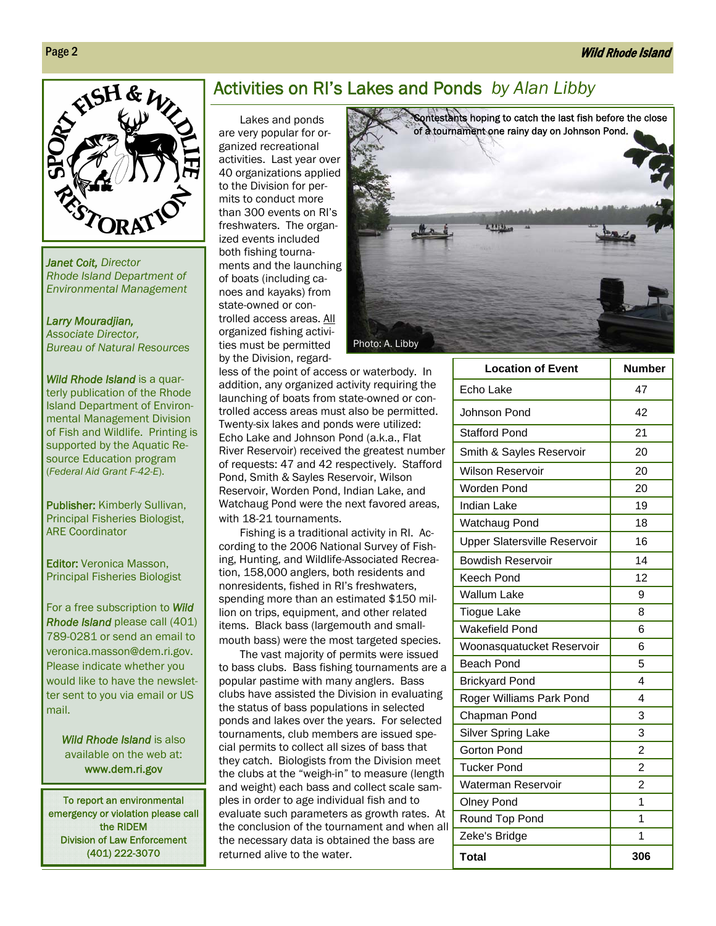

*Janet Coit, Director Rhode Island Department of Environmental Management* 

#### *Larry Mouradjian,*

*Associate Director, Bureau of Natural Resources* 

*Wild Rhode Island* is a quarterly publication of the Rhode Island Department of Environmental Management Division of Fish and Wildlife. Printing is supported by the Aquatic Resource Education program (*Federal Aid Grant F-42-E*).

Publisher: Kimberly Sullivan, Principal Fisheries Biologist, ARE Coordinator

Editor: Veronica Masson, Principal Fisheries Biologist

For a free subscription to *Wild Rhode Island* please call (401) 789-0281 or send an email to veronica.masson@dem.ri.gov. Please indicate whether you would like to have the newsletter sent to you via email or US mail.

> *Wild Rhode Island* is also available on the web at: www.dem.ri.gov

To report an environmental emergency or violation please call the RIDEM Division of Law Enforcement (401) 222-3070

## Activities on RI's Lakes and Ponds *by Alan Libby*

Lakes and ponds are very popular for organized recreational activities. Last year over 40 organizations applied to the Division for permits to conduct more than 300 events on RI's freshwaters. The organized events included both fishing tournaments and the launching of boats (including canoes and kayaks) from state-owned or controlled access areas. All organized fishing activities must be permitted by the Division, regard-

less of the point of access or waterbody. In addition, any organized activity requiring the launching of boats from state-owned or controlled access areas must also be permitted. Twenty-six lakes and ponds were utilized: Echo Lake and Johnson Pond (a.k.a., Flat River Reservoir) received the greatest number of requests: 47 and 42 respectively. Stafford Pond, Smith & Sayles Reservoir, Wilson Reservoir, Worden Pond, Indian Lake, and Watchaug Pond were the next favored areas, with 18-21 tournaments.

Fishing is a traditional activity in RI. According to the 2006 National Survey of Fishing, Hunting, and Wildlife-Associated Recreation, 158,000 anglers, both residents and nonresidents, fished in RI's freshwaters, spending more than an estimated \$150 million on trips, equipment, and other related items. Black bass (largemouth and smallmouth bass) were the most targeted species.

The vast majority of permits were issued to bass clubs. Bass fishing tournaments are a popular pastime with many anglers. Bass clubs have assisted the Division in evaluating the status of bass populations in selected ponds and lakes over the years. For selected tournaments, club members are issued special permits to collect all sizes of bass that they catch. Biologists from the Division meet the clubs at the "weigh-in" to measure (length and weight) each bass and collect scale samples in order to age individual fish and to evaluate such parameters as growth rates. At the conclusion of the tournament and when all the necessary data is obtained the bass are returned alive to the water.



| <b>Location of Event</b>            | <b>Number</b>  |
|-------------------------------------|----------------|
| Echo Lake                           | 47             |
| Johnson Pond                        | 42             |
| <b>Stafford Pond</b>                | 21             |
| Smith & Sayles Reservoir            | 20             |
| <b>Wilson Reservoir</b>             | 20             |
| Worden Pond                         | 20             |
| <b>Indian Lake</b>                  | 19             |
| <b>Watchaug Pond</b>                | 18             |
| <b>Upper Slatersville Reservoir</b> | 16             |
| <b>Bowdish Reservoir</b>            | 14             |
| Keech Pond                          | 12             |
| <b>Wallum Lake</b>                  | 9              |
| <b>Tiogue Lake</b>                  | 8              |
| <b>Wakefield Pond</b>               | 6              |
| Woonasquatucket Reservoir           | 6              |
| <b>Beach Pond</b>                   | 5              |
| <b>Brickyard Pond</b>               | 4              |
| Roger Williams Park Pond            | 4              |
| Chapman Pond                        | 3              |
| <b>Silver Spring Lake</b>           | 3              |
| Gorton Pond                         | $\overline{2}$ |
| <b>Tucker Pond</b>                  | $\overline{2}$ |
| Waterman Reservoir                  | $\overline{c}$ |
| <b>Olney Pond</b>                   | 1              |
| Round Top Pond                      | 1              |
| Zeke's Bridge                       | 1              |
| <b>Total</b>                        | 306            |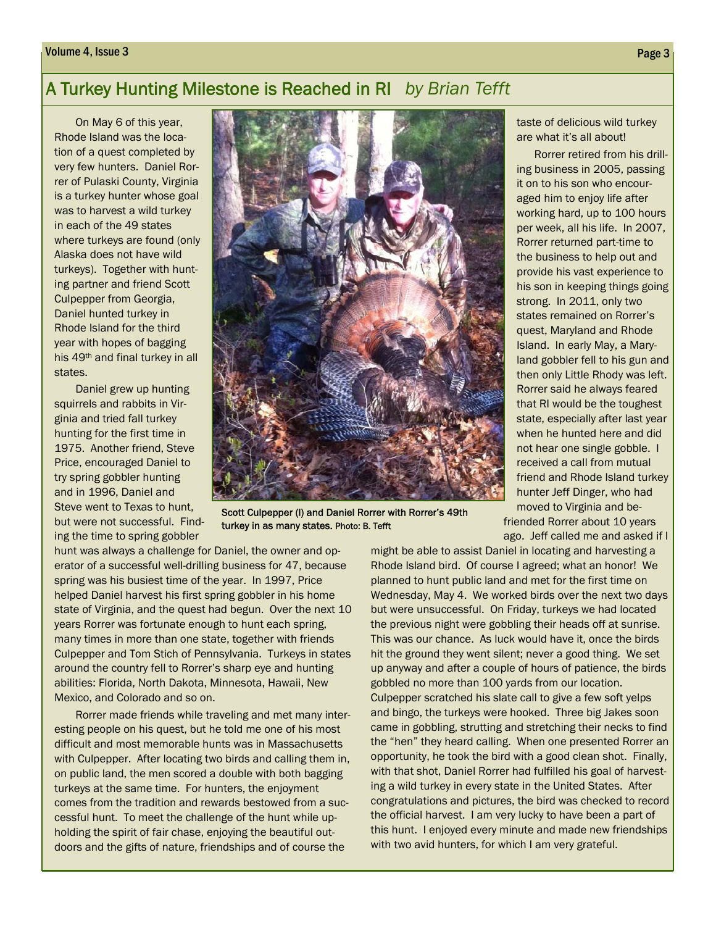## A Turkey Hunting Milestone is Reached in RI *by Brian Tefft*

On May 6 of this year, Rhode Island was the location of a quest completed by very few hunters. Daniel Rorrer of Pulaski County, Virginia is a turkey hunter whose goal was to harvest a wild turkey in each of the 49 states where turkeys are found (only Alaska does not have wild turkeys). Together with hunting partner and friend Scott Culpepper from Georgia, Daniel hunted turkey in Rhode Island for the third year with hopes of bagging his 49th and final turkey in all states.

Daniel grew up hunting squirrels and rabbits in Virginia and tried fall turkey hunting for the first time in 1975. Another friend, Steve Price, encouraged Daniel to try spring gobbler hunting and in 1996, Daniel and Steve went to Texas to hunt, but were not successful. Finding the time to spring gobbler



Scott Culpepper (l) and Daniel Rorrer with Rorrer's 49th turkey in as many states. Photo: B. Tefft

hunt was always a challenge for Daniel, the owner and operator of a successful well-drilling business for 47, because spring was his busiest time of the year. In 1997, Price helped Daniel harvest his first spring gobbler in his home state of Virginia, and the quest had begun. Over the next 10 years Rorrer was fortunate enough to hunt each spring, many times in more than one state, together with friends Culpepper and Tom Stich of Pennsylvania. Turkeys in states around the country fell to Rorrer's sharp eye and hunting abilities: Florida, North Dakota, Minnesota, Hawaii, New Mexico, and Colorado and so on.

Rorrer made friends while traveling and met many interesting people on his quest, but he told me one of his most difficult and most memorable hunts was in Massachusetts with Culpepper. After locating two birds and calling them in, on public land, the men scored a double with both bagging turkeys at the same time. For hunters, the enjoyment comes from the tradition and rewards bestowed from a successful hunt. To meet the challenge of the hunt while upholding the spirit of fair chase, enjoying the beautiful outdoors and the gifts of nature, friendships and of course the

taste of delicious wild turkey are what it's all about!

 Rorrer retired from his drilling business in 2005, passing it on to his son who encouraged him to enjoy life after working hard, up to 100 hours per week, all his life. In 2007, Rorrer returned part-time to the business to help out and provide his vast experience to his son in keeping things going strong. In 2011, only two states remained on Rorrer's quest, Maryland and Rhode Island. In early May, a Maryland gobbler fell to his gun and then only Little Rhody was left. Rorrer said he always feared that RI would be the toughest state, especially after last year when he hunted here and did not hear one single gobble. I received a call from mutual friend and Rhode Island turkey hunter Jeff Dinger, who had moved to Virginia and be-

friended Rorrer about 10 years ago. Jeff called me and asked if I

might be able to assist Daniel in locating and harvesting a Rhode Island bird. Of course I agreed; what an honor! We planned to hunt public land and met for the first time on Wednesday, May 4. We worked birds over the next two days but were unsuccessful. On Friday, turkeys we had located the previous night were gobbling their heads off at sunrise. This was our chance. As luck would have it, once the birds hit the ground they went silent; never a good thing. We set up anyway and after a couple of hours of patience, the birds gobbled no more than 100 yards from our location. Culpepper scratched his slate call to give a few soft yelps and bingo, the turkeys were hooked. Three big Jakes soon came in gobbling, strutting and stretching their necks to find the "hen" they heard calling. When one presented Rorrer an opportunity, he took the bird with a good clean shot. Finally, with that shot, Daniel Rorrer had fulfilled his goal of harvesting a wild turkey in every state in the United States. After congratulations and pictures, the bird was checked to record the official harvest. I am very lucky to have been a part of this hunt. I enjoyed every minute and made new friendships with two avid hunters, for which I am very grateful.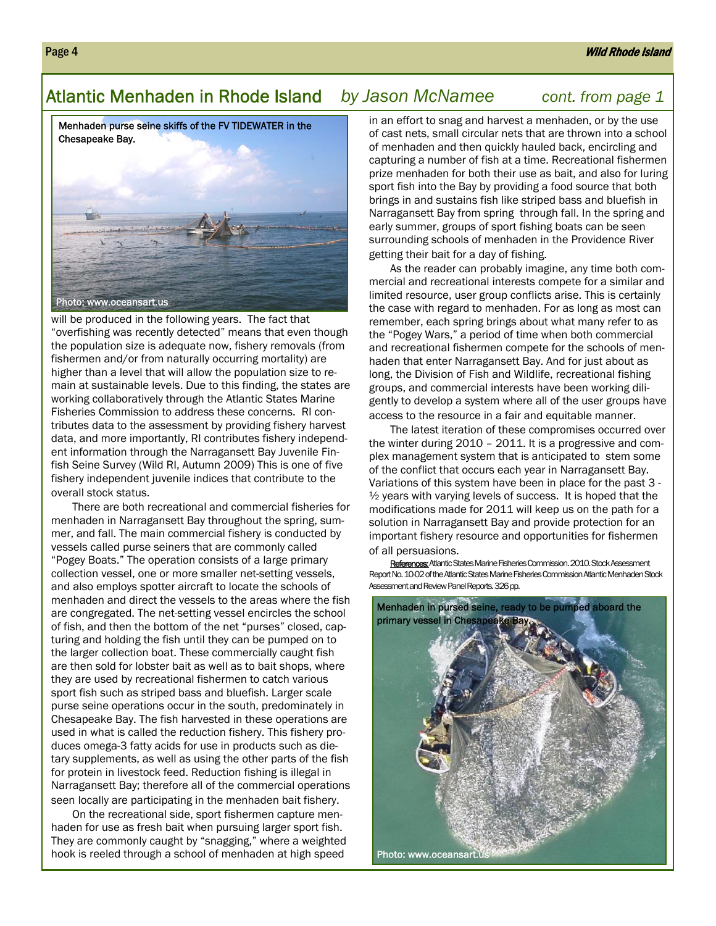## Atlantic Menhaden in Rhode Island *by Jason McNamee cont. from page 1*

Menhaden purse seine skiffs of the FV TIDEWATER in the Chesapeake Bay.



will be produced in the following years. The fact that "overfishing was recently detected" means that even though the population size is adequate now, fishery removals (from fishermen and/or from naturally occurring mortality) are higher than a level that will allow the population size to remain at sustainable levels. Due to this finding, the states are working collaboratively through the Atlantic States Marine Fisheries Commission to address these concerns. RI contributes data to the assessment by providing fishery harvest data, and more importantly, RI contributes fishery independent information through the Narragansett Bay Juvenile Finfish Seine Survey (Wild RI, Autumn 2009) This is one of five fishery independent juvenile indices that contribute to the overall stock status.

There are both recreational and commercial fisheries for menhaden in Narragansett Bay throughout the spring, summer, and fall. The main commercial fishery is conducted by vessels called purse seiners that are commonly called "Pogey Boats." The operation consists of a large primary collection vessel, one or more smaller net-setting vessels, and also employs spotter aircraft to locate the schools of menhaden and direct the vessels to the areas where the fish are congregated. The net-setting vessel encircles the school of fish, and then the bottom of the net "purses" closed, capturing and holding the fish until they can be pumped on to the larger collection boat. These commercially caught fish are then sold for lobster bait as well as to bait shops, where they are used by recreational fishermen to catch various sport fish such as striped bass and bluefish. Larger scale purse seine operations occur in the south, predominately in Chesapeake Bay. The fish harvested in these operations are used in what is called the reduction fishery. This fishery produces omega-3 fatty acids for use in products such as dietary supplements, as well as using the other parts of the fish for protein in livestock feed. Reduction fishing is illegal in Narragansett Bay; therefore all of the commercial operations seen locally are participating in the menhaden bait fishery.

On the recreational side, sport fishermen capture menhaden for use as fresh bait when pursuing larger sport fish. They are commonly caught by "snagging," where a weighted hook is reeled through a school of menhaden at high speed

in an effort to snag and harvest a menhaden, or by the use of cast nets, small circular nets that are thrown into a school of menhaden and then quickly hauled back, encircling and capturing a number of fish at a time. Recreational fishermen prize menhaden for both their use as bait, and also for luring sport fish into the Bay by providing a food source that both brings in and sustains fish like striped bass and bluefish in Narragansett Bay from spring through fall. In the spring and early summer, groups of sport fishing boats can be seen surrounding schools of menhaden in the Providence River getting their bait for a day of fishing.

As the reader can probably imagine, any time both commercial and recreational interests compete for a similar and limited resource, user group conflicts arise. This is certainly the case with regard to menhaden. For as long as most can remember, each spring brings about what many refer to as the "Pogey Wars," a period of time when both commercial and recreational fishermen compete for the schools of menhaden that enter Narragansett Bay. And for just about as long, the Division of Fish and Wildlife, recreational fishing groups, and commercial interests have been working diligently to develop a system where all of the user groups have access to the resource in a fair and equitable manner.

The latest iteration of these compromises occurred over the winter during 2010 – 2011. It is a progressive and complex management system that is anticipated to stem some of the conflict that occurs each year in Narragansett Bay. Variations of this system have been in place for the past 3 -  $\frac{1}{2}$  years with varying levels of success. It is hoped that the modifications made for 2011 will keep us on the path for a solution in Narragansett Bay and provide protection for an important fishery resource and opportunities for fishermen of all persuasions.

References: Atlantic States Marine Fisheries Commission. 2010. Stock Assessment Report No. 10-02 of the Atlantic States Marine Fisheries Commission Atlantic Menhaden Stock Assessment and Review Panel Reports. 326 pp.

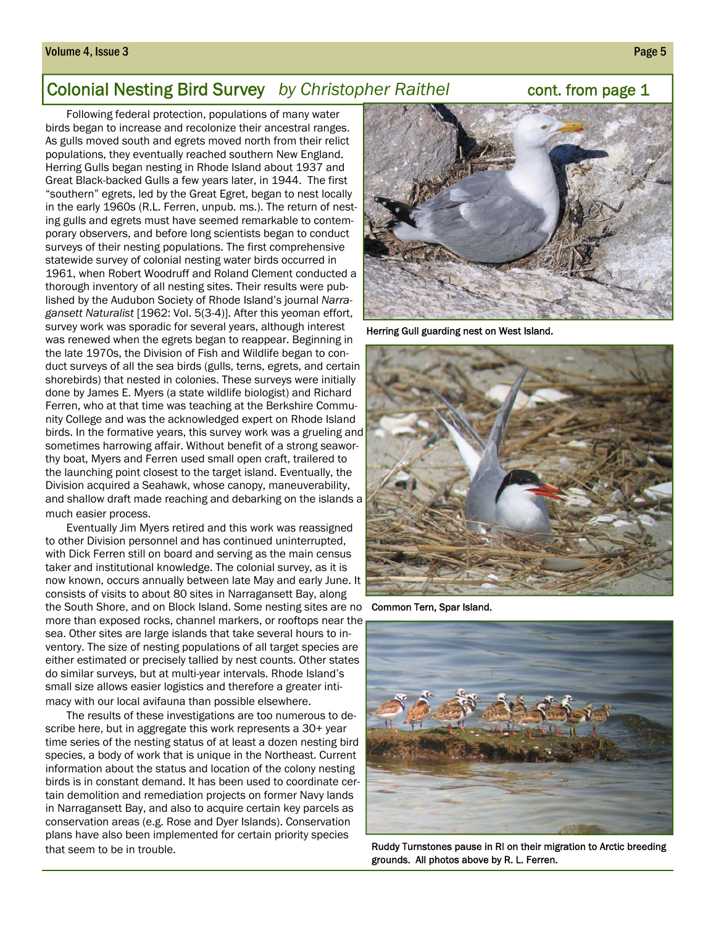#### Volume 4, Issue 3 Page 5

## **Colonial Nesting Bird Survey** by Christopher Raithel **business** cont. from page 1

Following federal protection, populations of many water birds began to increase and recolonize their ancestral ranges. As gulls moved south and egrets moved north from their relict populations, they eventually reached southern New England. Herring Gulls began nesting in Rhode Island about 1937 and Great Black-backed Gulls a few years later, in 1944. The first "southern" egrets, led by the Great Egret, began to nest locally in the early 1960s (R.L. Ferren, unpub. ms.). The return of nesting gulls and egrets must have seemed remarkable to contemporary observers, and before long scientists began to conduct surveys of their nesting populations. The first comprehensive statewide survey of colonial nesting water birds occurred in 1961, when Robert Woodruff and Roland Clement conducted a thorough inventory of all nesting sites. Their results were published by the Audubon Society of Rhode Island's journal *Narragansett Naturalist* [1962: Vol. 5(3-4)]. After this yeoman effort, survey work was sporadic for several years, although interest was renewed when the egrets began to reappear. Beginning in the late 1970s, the Division of Fish and Wildlife began to conduct surveys of all the sea birds (gulls, terns, egrets, and certain shorebirds) that nested in colonies. These surveys were initially done by James E. Myers (a state wildlife biologist) and Richard Ferren, who at that time was teaching at the Berkshire Community College and was the acknowledged expert on Rhode Island birds. In the formative years, this survey work was a grueling and sometimes harrowing affair. Without benefit of a strong seaworthy boat, Myers and Ferren used small open craft, trailered to the launching point closest to the target island. Eventually, the Division acquired a Seahawk, whose canopy, maneuverability, and shallow draft made reaching and debarking on the islands a much easier process.

Eventually Jim Myers retired and this work was reassigned to other Division personnel and has continued uninterrupted, with Dick Ferren still on board and serving as the main census taker and institutional knowledge. The colonial survey, as it is now known, occurs annually between late May and early June. It consists of visits to about 80 sites in Narragansett Bay, along the South Shore, and on Block Island. Some nesting sites are no more than exposed rocks, channel markers, or rooftops near the sea. Other sites are large islands that take several hours to inventory. The size of nesting populations of all target species are either estimated or precisely tallied by nest counts. Other states do similar surveys, but at multi-year intervals. Rhode Island's small size allows easier logistics and therefore a greater intimacy with our local avifauna than possible elsewhere.

The results of these investigations are too numerous to describe here, but in aggregate this work represents a 30+ year time series of the nesting status of at least a dozen nesting bird species, a body of work that is unique in the Northeast. Current information about the status and location of the colony nesting birds is in constant demand. It has been used to coordinate certain demolition and remediation projects on former Navy lands in Narragansett Bay, and also to acquire certain key parcels as conservation areas (e.g. Rose and Dyer Islands). Conservation plans have also been implemented for certain priority species that seem to be in trouble.



Herring Gull guarding nest on West Island.



Common Tern, Spar Island.



Ruddy Turnstones pause in RI on their migration to Arctic breeding grounds. All photos above by R. L. Ferren.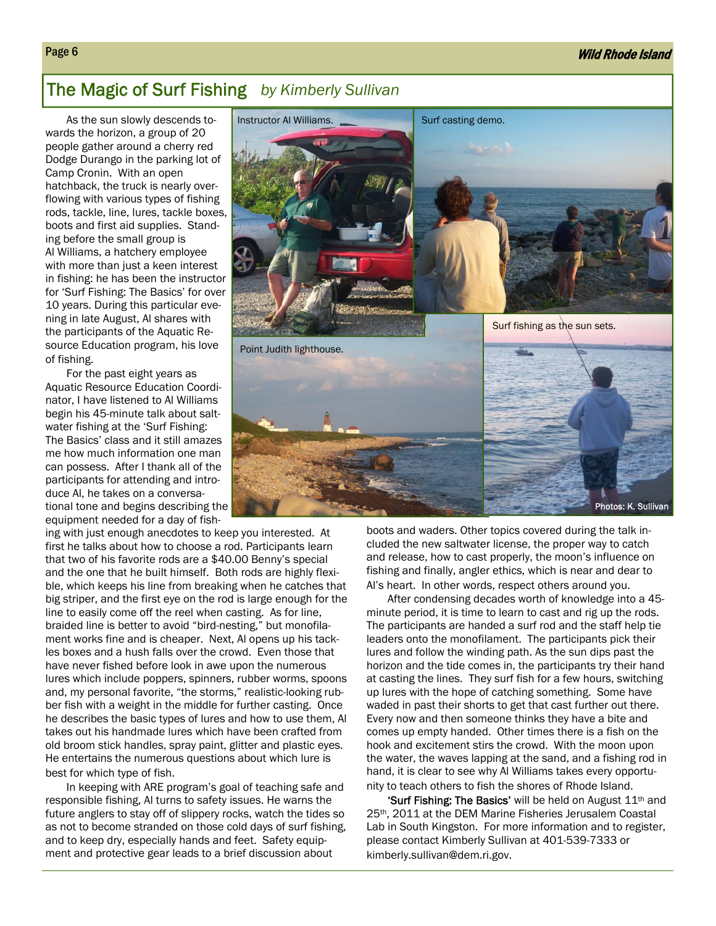## The Magic of Surf Fishing *by Kimberly Sullivan*

As the sun slowly descends towards the horizon, a group of 20 people gather around a cherry red Dodge Durango in the parking lot of Camp Cronin. With an open hatchback, the truck is nearly overflowing with various types of fishing rods, tackle, line, lures, tackle boxes, boots and first aid supplies. Standing before the small group is Al Williams, a hatchery employee with more than just a keen interest in fishing: he has been the instructor for 'Surf Fishing: The Basics' for over 10 years. During this particular evening in late August, Al shares with the participants of the Aquatic Resource Education program, his love of fishing.

For the past eight years as Aquatic Resource Education Coordinator, I have listened to Al Williams begin his 45-minute talk about saltwater fishing at the 'Surf Fishing: The Basics' class and it still amazes me how much information one man can possess. After I thank all of the participants for attending and introduce Al, he takes on a conversational tone and begins describing the equipment needed for a day of fish-

ing with just enough anecdotes to keep you interested. At first he talks about how to choose a rod. Participants learn that two of his favorite rods are a \$40.00 Benny's special and the one that he built himself. Both rods are highly flexible, which keeps his line from breaking when he catches that big striper, and the first eye on the rod is large enough for the line to easily come off the reel when casting. As for line, braided line is better to avoid "bird-nesting," but monofilament works fine and is cheaper. Next, Al opens up his tackles boxes and a hush falls over the crowd. Even those that have never fished before look in awe upon the numerous lures which include poppers, spinners, rubber worms, spoons and, my personal favorite, "the storms," realistic-looking rubber fish with a weight in the middle for further casting. Once he describes the basic types of lures and how to use them, Al takes out his handmade lures which have been crafted from old broom stick handles, spray paint, glitter and plastic eyes. He entertains the numerous questions about which lure is best for which type of fish.

In keeping with ARE program's goal of teaching safe and responsible fishing, Al turns to safety issues. He warns the future anglers to stay off of slippery rocks, watch the tides so as not to become stranded on those cold days of surf fishing, and to keep dry, especially hands and feet. Safety equipment and protective gear leads to a brief discussion about



boots and waders. Other topics covered during the talk included the new saltwater license, the proper way to catch and release, how to cast properly, the moon's influence on fishing and finally, angler ethics, which is near and dear to Al's heart. In other words, respect others around you.

After condensing decades worth of knowledge into a 45 minute period, it is time to learn to cast and rig up the rods. The participants are handed a surf rod and the staff help tie leaders onto the monofilament. The participants pick their lures and follow the winding path. As the sun dips past the horizon and the tide comes in, the participants try their hand at casting the lines. They surf fish for a few hours, switching up lures with the hope of catching something. Some have waded in past their shorts to get that cast further out there. Every now and then someone thinks they have a bite and comes up empty handed. Other times there is a fish on the hook and excitement stirs the crowd. With the moon upon the water, the waves lapping at the sand, and a fishing rod in hand, it is clear to see why Al Williams takes every opportunity to teach others to fish the shores of Rhode Island.

**'Surf Fishing: The Basics'** will be held on August  $11<sup>th</sup>$  and 25th, 2011 at the DEM Marine Fisheries Jerusalem Coastal Lab in South Kingston. For more information and to register, please contact Kimberly Sullivan at 401-539-7333 or kimberly.sullivan@dem.ri.gov.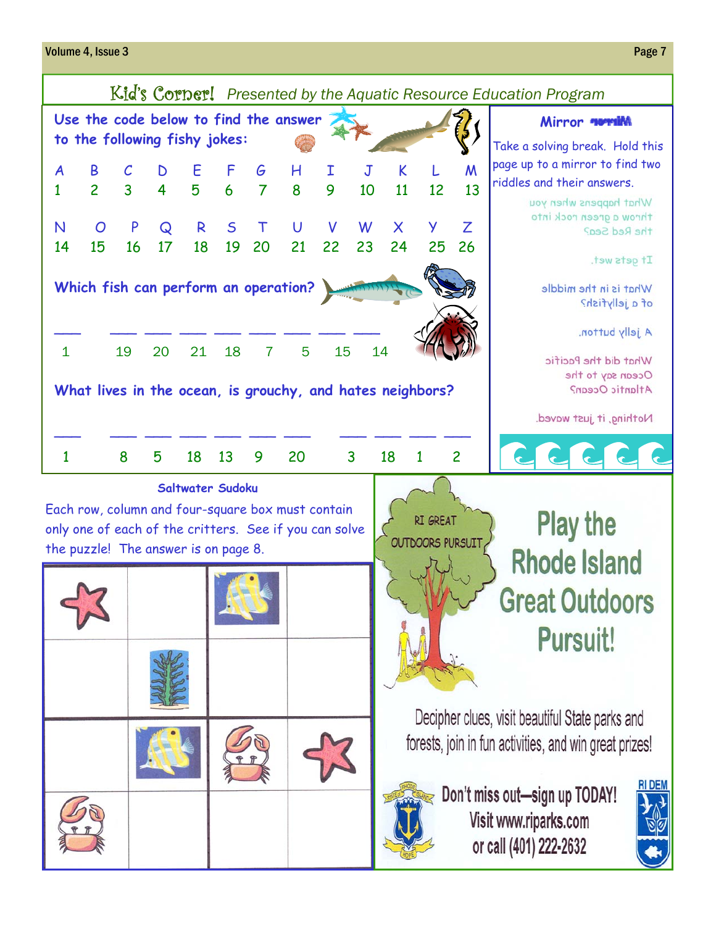#### Volume 4, Issue 3 Page 7

#### Kid's Corner! *Presented by the Aquatic Resource Education Program* Use the code below to find the answer **Mirror of the State of Allen and Mirror norming to the following fishy jokes:**  Take a solving break. Hold this page up to a mirror to find two A B C D E F G H I J K L M riddles and their answers. 1 2 3 4 5 6 7 8 9 10 11 12 13 What happens when you throw a green rock into N O P Q R S T U V W X Y Z the Red Sea? 14 15 16 17 18 19 20 21 22 23 24 25 26 It gets wet. **Which fish can perform an operation?**  What is in the middle of a jellyfish? \_\_\_ \_\_\_ \_\_\_ \_\_\_ \_\_\_ \_\_\_ \_\_\_ \_\_\_ \_\_\_ A jelly button. 1 19 20 21 18 7 5 15 14 What did the Pacific Ocean say to the **What lives in the ocean, is grouchy, and hates neighbors?**  Atlantic Ocean? Nothing, it just waved. \_\_\_ \_\_\_ \_\_\_ \_\_\_ \_\_\_ \_\_\_ \_\_\_ \_\_\_ \_\_\_ \_\_\_ \_\_\_ 1 8 5 18 13 9 20 3 18 1 2**Saltwater Sudoku**

Each row, column and four-square box must contain only one of each of the critters. See if you can solve the puzzle! The answer is on page 8.



**Play the RI GREAT OUTDOORS PURSUIT Rhode Island Great Outdoors Pursuit!** 

Decipher clues, visit beautiful State parks and forests, join in fun activities, and win great prizes!



Don't miss out-sign up TODAY! Visit www.riparks.com or call (401) 222-2632